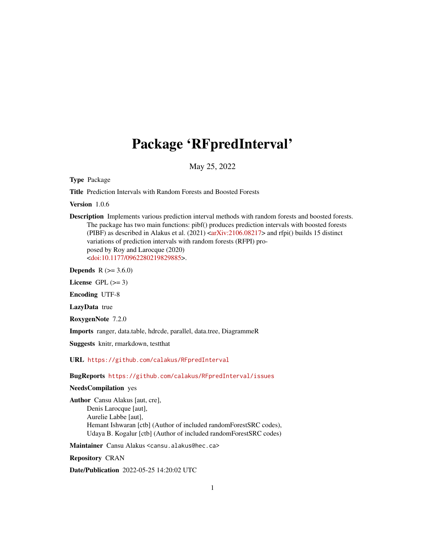## Package 'RFpredInterval'

May 25, 2022

Type Package

Title Prediction Intervals with Random Forests and Boosted Forests

Version 1.0.6

Description Implements various prediction interval methods with random forests and boosted forests. The package has two main functions: pibf() produces prediction intervals with boosted forests (PIBF) as described in Alakus et al.  $(2021)$  [<arXiv:2106.08217>](https://arxiv.org/abs/2106.08217) and rfpi() builds 15 distinct variations of prediction intervals with random forests (RFPI) proposed by Roy and Larocque (2020) [<doi:10.1177/0962280219829885>](https://doi.org/10.1177/0962280219829885).

**Depends** R  $(>= 3.6.0)$ 

License GPL  $(>= 3)$ 

Encoding UTF-8

LazyData true

RoxygenNote 7.2.0

Imports ranger, data.table, hdrcde, parallel, data.tree, DiagrammeR

Suggests knitr, rmarkdown, testthat

URL <https://github.com/calakus/RFpredInterval>

BugReports <https://github.com/calakus/RFpredInterval/issues>

#### NeedsCompilation yes

Author Cansu Alakus [aut, cre], Denis Larocque [aut], Aurelie Labbe [aut], Hemant Ishwaran [ctb] (Author of included randomForestSRC codes), Udaya B. Kogalur [ctb] (Author of included randomForestSRC codes)

Maintainer Cansu Alakus <cansu.alakus@hec.ca>

Repository CRAN

Date/Publication 2022-05-25 14:20:02 UTC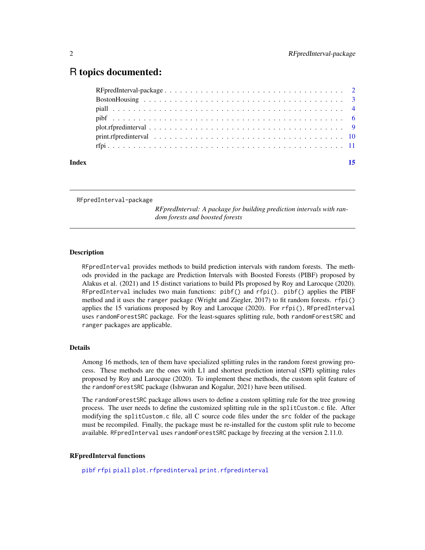### <span id="page-1-0"></span>R topics documented:

| Index |  |
|-------|--|
|       |  |
|       |  |
|       |  |
|       |  |
|       |  |
|       |  |
|       |  |

RFpredInterval-package

*RFpredInterval: A package for building prediction intervals with random forests and boosted forests*

#### Description

RFpredInterval provides methods to build prediction intervals with random forests. The methods provided in the package are Prediction Intervals with Boosted Forests (PIBF) proposed by Alakus et al. (2021) and 15 distinct variations to build PIs proposed by Roy and Larocque (2020). RFpredInterval includes two main functions: pibf() and rfpi(). pibf() applies the PIBF method and it uses the ranger package (Wright and Ziegler, 2017) to fit random forests. rfpi() applies the 15 variations proposed by Roy and Larocque (2020). For rfpi(), RFpredInterval uses randomForestSRC package. For the least-squares splitting rule, both randomForestSRC and ranger packages are applicable.

#### Details

Among 16 methods, ten of them have specialized splitting rules in the random forest growing process. These methods are the ones with L1 and shortest prediction interval (SPI) splitting rules proposed by Roy and Larocque (2020). To implement these methods, the custom split feature of the randomForestSRC package (Ishwaran and Kogalur, 2021) have been utilised.

The randomForestSRC package allows users to define a custom splitting rule for the tree growing process. The user needs to define the customized splitting rule in the splitCustom.c file. After modifying the splitCustom.c file, all C source code files under the src folder of the package must be recompiled. Finally, the package must be re-installed for the custom split rule to become available. RFpredInterval uses randomForestSRC package by freezing at the version 2.11.0.

#### RFpredInterval functions

[pibf](#page-5-1) [rfpi](#page-10-1) [piall](#page-3-1) [plot.rfpredinterval](#page-8-1) [print.rfpredinterval](#page-9-1)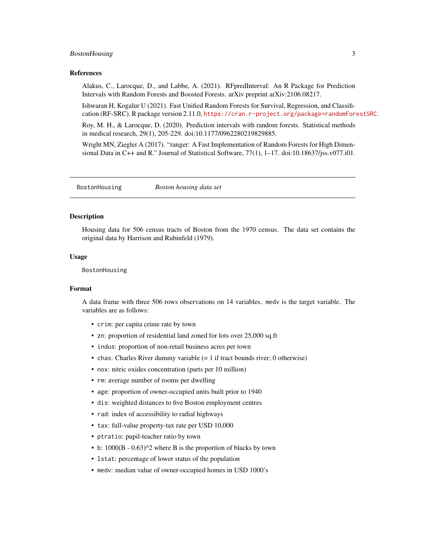#### <span id="page-2-0"></span>BostonHousing 3

#### References

Alakus, C., Larocque, D., and Labbe, A. (2021). RFpredInterval: An R Package for Prediction Intervals with Random Forests and Boosted Forests. arXiv preprint arXiv:2106.08217.

Ishwaran H, Kogalur U (2021). Fast Unified Random Forests for Survival, Regression, and Classification (RF-SRC). R package version 2.11.0, <https://cran.r-project.org/package=randomForestSRC>.

Roy, M. H., & Larocque, D. (2020). Prediction intervals with random forests. Statistical methods in medical research, 29(1), 205-229. doi:10.1177/0962280219829885.

Wright MN, Ziegler A (2017). "ranger: A Fast Implementation of Random Forests for High Dimensional Data in C++ and R." Journal of Statistical Software, 77(1), 1–17. doi:10.18637/jss.v077.i01.

BostonHousing *Boston housing data set*

#### **Description**

Housing data for 506 census tracts of Boston from the 1970 census. The data set contains the original data by Harrison and Rubinfeld (1979).

#### Usage

BostonHousing

#### Format

A data frame with three 506 rows observations on 14 variables. medv is the target variable. The variables are as follows:

- crim: per capita crime rate by town
- zn: proportion of residential land zoned for lots over 25,000 sq.ft
- indus: proportion of non-retail business acres per town
- chas: Charles River dummy variable (= 1 if tract bounds river; 0 otherwise)
- nox: nitric oxides concentration (parts per 10 million)
- rm: average number of rooms per dwelling
- age: proportion of owner-occupied units built prior to 1940
- dis: weighted distances to five Boston employment centres
- rad: index of accessibility to radial highways
- tax: full-value property-tax rate per USD 10,000
- ptratio: pupil-teacher ratio by town
- b:  $1000(B 0.63)^2$  where B is the proportion of blacks by town
- lstat: percentage of lower status of the population
- medv: median value of owner-occupied homes in USD 1000's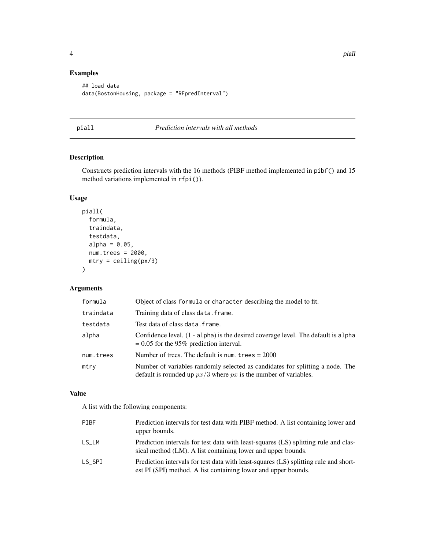#### <span id="page-3-0"></span>Examples

```
## load data
data(BostonHousing, package = "RFpredInterval")
```
#### <span id="page-3-1"></span>piall *Prediction intervals with all methods*

#### Description

Constructs prediction intervals with the 16 methods (PIBF method implemented in pibf() and 15 method variations implemented in rfpi()).

#### Usage

```
piall(
  formula,
  traindata,
  testdata,
  alpha = 0.05,
  num.trees = 2000,
  mtry = ceiling(px/3))
```
#### Arguments

| formula   | Object of class formula or character describing the model to fit.                                                                                  |
|-----------|----------------------------------------------------------------------------------------------------------------------------------------------------|
| traindata | Training data of class data. frame.                                                                                                                |
| testdata  | Test data of class data.frame.                                                                                                                     |
| alpha     | Confidence level. (1 - alpha) is the desired coverage level. The default is alpha<br>$= 0.05$ for the 95% prediction interval.                     |
| num.trees | Number of trees. The default is num. trees $= 2000$                                                                                                |
| mtry      | Number of variables randomly selected as candidates for splitting a node. The<br>default is rounded up $px/3$ where px is the number of variables. |

#### Value

A list with the following components:

| PTRF   | Prediction intervals for test data with PIBF method. A list containing lower and<br>upper bounds.                                                      |
|--------|--------------------------------------------------------------------------------------------------------------------------------------------------------|
| LS LM  | Prediction intervals for test data with least-squares (LS) splitting rule and clas-<br>sical method (LM). A list containing lower and upper bounds.    |
| LS SPI | Prediction intervals for test data with least-squares (LS) splitting rule and short-<br>est PI (SPI) method. A list containing lower and upper bounds. |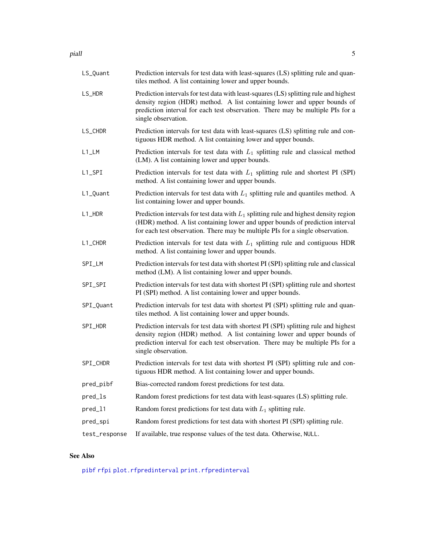<span id="page-4-0"></span>

| LS_Quant              | Prediction intervals for test data with least-squares (LS) splitting rule and quan-<br>tiles method. A list containing lower and upper bounds.                                                                                                                             |
|-----------------------|----------------------------------------------------------------------------------------------------------------------------------------------------------------------------------------------------------------------------------------------------------------------------|
| LS_HDR                | Prediction intervals for test data with least-squares (LS) splitting rule and highest<br>density region (HDR) method. A list containing lower and upper bounds of<br>prediction interval for each test observation. There may be multiple PIs for a<br>single observation. |
| LS_CHDR               | Prediction intervals for test data with least-squares (LS) splitting rule and con-<br>tiguous HDR method. A list containing lower and upper bounds.                                                                                                                        |
| $L1$ <sub>_</sub> LM  | Prediction intervals for test data with $L_1$ splitting rule and classical method<br>(LM). A list containing lower and upper bounds.                                                                                                                                       |
| $L1$ <sub>-</sub> SPI | Prediction intervals for test data with $L_1$ splitting rule and shortest PI (SPI)<br>method. A list containing lower and upper bounds.                                                                                                                                    |
| L1_Quant              | Prediction intervals for test data with $L_1$ splitting rule and quantiles method. A<br>list containing lower and upper bounds.                                                                                                                                            |
| L1_HDR                | Prediction intervals for test data with $L_1$ splitting rule and highest density region<br>(HDR) method. A list containing lower and upper bounds of prediction interval<br>for each test observation. There may be multiple PIs for a single observation.                 |
| L1_CHDR               | Prediction intervals for test data with $L_1$ splitting rule and contiguous HDR<br>method. A list containing lower and upper bounds.                                                                                                                                       |
| SPI_LM                | Prediction intervals for test data with shortest PI (SPI) splitting rule and classical<br>method (LM). A list containing lower and upper bounds.                                                                                                                           |
| SPI_SPI               | Prediction intervals for test data with shortest PI (SPI) splitting rule and shortest<br>PI (SPI) method. A list containing lower and upper bounds.                                                                                                                        |
| SPI_Quant             | Prediction intervals for test data with shortest PI (SPI) splitting rule and quan-<br>tiles method. A list containing lower and upper bounds.                                                                                                                              |
| SPI_HDR               | Prediction intervals for test data with shortest PI (SPI) splitting rule and highest<br>density region (HDR) method. A list containing lower and upper bounds of<br>prediction interval for each test observation. There may be multiple PIs for a<br>single observation.  |
| SPI_CHDR              | Prediction intervals for test data with shortest PI (SPI) splitting rule and con-<br>tiguous HDR method. A list containing lower and upper bounds.                                                                                                                         |
| pred_pibf             | Bias-corrected random forest predictions for test data.                                                                                                                                                                                                                    |
| pred_ls               | Random forest predictions for test data with least-squares (LS) splitting rule.                                                                                                                                                                                            |
| pred_11               | Random forest predictions for test data with $L_1$ splitting rule.                                                                                                                                                                                                         |
| pred_spi              | Random forest predictions for test data with shortest PI (SPI) splitting rule.                                                                                                                                                                                             |
| test_response         | If available, true response values of the test data. Otherwise, NULL.                                                                                                                                                                                                      |

#### See Also

[pibf](#page-5-1) [rfpi](#page-10-1) [plot.rfpredinterval](#page-8-1) [print.rfpredinterval](#page-9-1)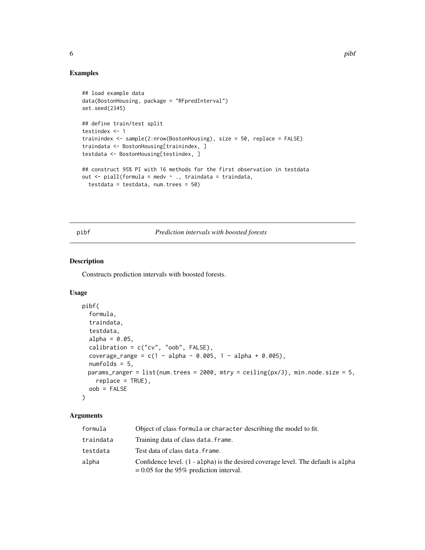#### Examples

```
## load example data
data(BostonHousing, package = "RFpredInterval")
set.seed(2345)
## define train/test split
testindex <- 1
trainindex <- sample(2:nrow(BostonHousing), size = 50, replace = FALSE)
traindata <- BostonHousing[trainindex, ]
testdata <- BostonHousing[testindex, ]
## construct 95% PI with 16 methods for the first observation in testdata
out \le- piall(formula = medv \sim ., traindata = traindata,
  testdata = testdata, num.trees = 50)
```
<span id="page-5-1"></span>pibf *Prediction intervals with boosted forests*

#### Description

Constructs prediction intervals with boosted forests.

#### Usage

```
pibf(
  formula,
  traindata,
  testdata,
  alpha = 0.05,
  calibration = c("cv", "oob", FALSE),
  coverage_range = c(1 - alpha - 0.005, 1 - alpha + 0.005),numfolds = 5,
 params_ranger = list(num.trees = 2000, mtry = ceiling(px/3), min.node.size = 5,
    replace = TRUE),
 oob = FALSE
)
```
#### Arguments

| formula   | Object of class formula or character describing the model to fit.                                                              |
|-----------|--------------------------------------------------------------------------------------------------------------------------------|
| traindata | Training data of class data. frame.                                                                                            |
| testdata  | Test data of class data. frame.                                                                                                |
| alpha     | Confidence level. (1 - alpha) is the desired coverage level. The default is alpha<br>$= 0.05$ for the 95% prediction interval. |

<span id="page-5-0"></span>6 pibf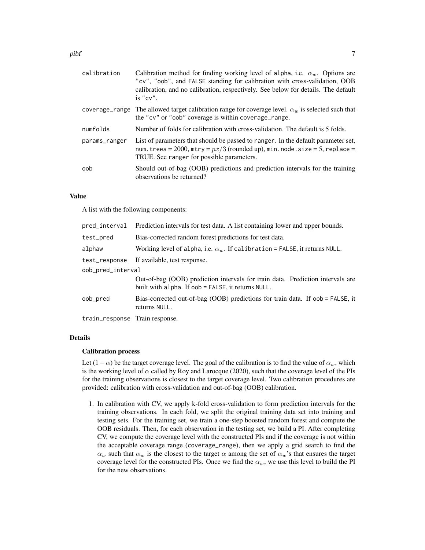| Calibration method for finding working level of alpha, i.e. $\alpha_w$ . Options are<br>"cv", "oob", and FALSE standing for calibration with cross-validation, OOB<br>calibration, and no calibration, respectively. See below for details. The default<br>is "cv". |
|---------------------------------------------------------------------------------------------------------------------------------------------------------------------------------------------------------------------------------------------------------------------|
| The allowed target calibration range for coverage level. $\alpha_w$ is selected such that<br>the "cv" or "oob" coverage is within coverage_range.                                                                                                                   |
| Number of folds for calibration with cross-validation. The default is 5 folds.                                                                                                                                                                                      |
| List of parameters that should be passed to ranger. In the default parameter set,<br>num.trees = $2000$ , mtry = $px/3$ (rounded up), min.node.size = 5, replace =<br>TRUE. See ranger for possible parameters.                                                     |
| Should out-of-bag (OOB) predictions and prediction intervals for the training<br>observations be returned?                                                                                                                                                          |
|                                                                                                                                                                                                                                                                     |

#### Value

A list with the following components:

| pred_interval                  | Prediction intervals for test data. A list containing lower and upper bounds.                                                        |
|--------------------------------|--------------------------------------------------------------------------------------------------------------------------------------|
| test_pred                      | Bias-corrected random forest predictions for test data.                                                                              |
| alphaw                         | Working level of alpha, i.e. $\alpha_w$ . If calibration = FALSE, it returns NULL.                                                   |
| test_response                  | If available, test response.                                                                                                         |
| oob_pred_interval              |                                                                                                                                      |
|                                | Out-of-bag (OOB) prediction intervals for train data. Prediction intervals are<br>built with alpha. If oob = FALSE, it returns NULL. |
| oob_pred                       | Bias-corrected out-of-bag (OOB) predictions for train data. If oob = FALSE, it<br>returns NULL.                                      |
| train_response Train response. |                                                                                                                                      |

#### Details

#### Calibration process

Let  $(1-\alpha)$  be the target coverage level. The goal of the calibration is to find the value of  $\alpha_w$ , which is the working level of  $\alpha$  called by Roy and Larocque (2020), such that the coverage level of the PIs for the training observations is closest to the target coverage level. Two calibration procedures are provided: calibration with cross-validation and out-of-bag (OOB) calibration.

1. In calibration with CV, we apply k-fold cross-validation to form prediction intervals for the training observations. In each fold, we split the original training data set into training and testing sets. For the training set, we train a one-step boosted random forest and compute the OOB residuals. Then, for each observation in the testing set, we build a PI. After completing CV, we compute the coverage level with the constructed PIs and if the coverage is not within the acceptable coverage range (coverage\_range), then we apply a grid search to find the  $\alpha_w$  such that  $\alpha_w$  is the closest to the target  $\alpha$  among the set of  $\alpha_w$ 's that ensures the target coverage level for the constructed PIs. Once we find the  $\alpha_w$ , we use this level to build the PI for the new observations.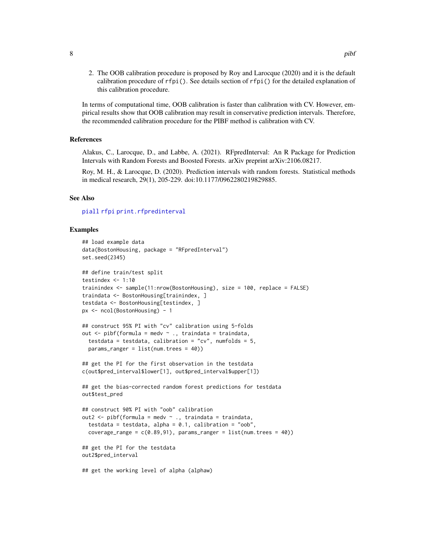<span id="page-7-0"></span>2. The OOB calibration procedure is proposed by Roy and Larocque (2020) and it is the default calibration procedure of  $rfpi()$ . See details section of  $rfpi()$  for the detailed explanation of this calibration procedure.

In terms of computational time, OOB calibration is faster than calibration with CV. However, empirical results show that OOB calibration may result in conservative prediction intervals. Therefore, the recommended calibration procedure for the PIBF method is calibration with CV.

#### References

Alakus, C., Larocque, D., and Labbe, A. (2021). RFpredInterval: An R Package for Prediction Intervals with Random Forests and Boosted Forests. arXiv preprint arXiv:2106.08217.

Roy, M. H., & Larocque, D. (2020). Prediction intervals with random forests. Statistical methods in medical research, 29(1), 205-229. doi:10.1177/0962280219829885.

#### See Also

[piall](#page-3-1) [rfpi](#page-10-1) [print.rfpredinterval](#page-9-1)

#### Examples

```
## load example data
data(BostonHousing, package = "RFpredInterval")
set.seed(2345)
## define train/test split
testindex \leq -1:10trainindex <- sample(11:nrow(BostonHousing), size = 100, replace = FALSE)
traindata <- BostonHousing[trainindex, ]
testdata <- BostonHousing[testindex, ]
px <- ncol(BostonHousing) - 1
## construct 95% PI with "cv" calibration using 5-folds
out \leq pibf(formula = medv \sim ., traindata = traindata,
 testdata = testdata, calibration = "cv", numfolds = 5,
 params_ranger = list(num.trees = 40))
## get the PI for the first observation in the testdata
c(out$pred_interval$lower[1], out$pred_interval$upper[1])
## get the bias-corrected random forest predictions for testdata
out$test_pred
## construct 90% PI with "oob" calibration
out2 \leq pibf(formula = medv \sim ., traindata = traindata,
 testdata = testdata, alpha = 0.1, calibration = "oob",
 coverage_range = c(0.89, 91), params_ranger = list(num.trees = 40))
## get the PI for the testdata
out2$pred_interval
## get the working level of alpha (alphaw)
```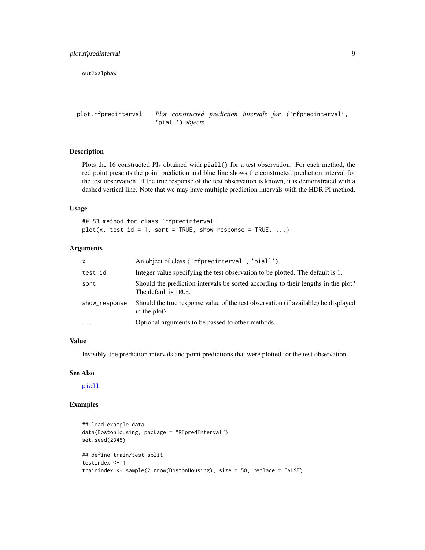<span id="page-8-0"></span>out2\$alphaw

<span id="page-8-1"></span>plot.rfpredinterval *Plot constructed prediction intervals for* ('rfpredinterval', 'piall') *objects*

#### Description

Plots the 16 constructed PIs obtained with piall() for a test observation. For each method, the red point presents the point prediction and blue line shows the constructed prediction interval for the test observation. If the true response of the test observation is known, it is demonstrated with a dashed vertical line. Note that we may have multiple prediction intervals with the HDR PI method.

#### Usage

## S3 method for class 'rfpredinterval'  $plot(x, test_id = 1, sort = TRUE, show-response = TRUE, ...)$ 

#### Arguments

| X             | An object of class ('rfpredinterval', 'piall').                                                           |
|---------------|-----------------------------------------------------------------------------------------------------------|
| test_id       | Integer value specifying the test observation to be plotted. The default is 1.                            |
| sort          | Should the prediction intervals be sorted according to their lengths in the plot?<br>The default is TRUE. |
| show_response | Should the true response value of the test observation (if available) be displayed<br>in the plot?        |
| $\cdots$      | Optional arguments to be passed to other methods.                                                         |

#### Value

Invisibly, the prediction intervals and point predictions that were plotted for the test observation.

#### See Also

[piall](#page-3-1)

#### Examples

```
## load example data
data(BostonHousing, package = "RFpredInterval")
set.seed(2345)
## define train/test split
testindex <- 1
trainindex <- sample(2:nrow(BostonHousing), size = 50, replace = FALSE)
```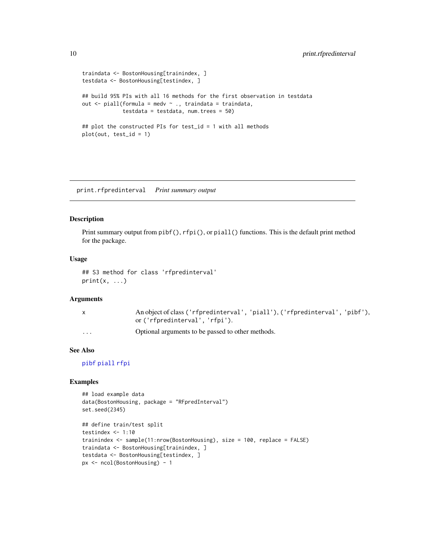```
traindata <- BostonHousing[trainindex, ]
testdata <- BostonHousing[testindex, ]
## build 95% PIs with all 16 methods for the first observation in testdata
out <- piall(formula = medv ~ ., traindata = traindata,
             testdata = testdata, num.trees = 50)
## plot the constructed PIs for test_id = 1 with all methods
plot(out, test_id = 1)
```
<span id="page-9-1"></span>print.rfpredinterval *Print summary output*

#### Description

Print summary output from pibf(), rfpi(), or piall() functions. This is the default print method for the package.

#### Usage

```
## S3 method for class 'rfpredinterval'
print(x, \ldots)
```
#### Arguments

|                         | An object of class ('rfpredinterval', 'piall'), ('rfpredinterval', 'pibf'), |
|-------------------------|-----------------------------------------------------------------------------|
|                         | or ('rfpredinterval', 'rfpi').                                              |
| $\cdot$ $\cdot$ $\cdot$ | Optional arguments to be passed to other methods.                           |

#### See Also

[pibf](#page-5-1) [piall](#page-3-1) [rfpi](#page-10-1)

#### Examples

```
## load example data
data(BostonHousing, package = "RFpredInterval")
set.seed(2345)
## define train/test split
testindex <- 1:10
trainindex <- sample(11:nrow(BostonHousing), size = 100, replace = FALSE)
traindata <- BostonHousing[trainindex, ]
testdata <- BostonHousing[testindex, ]
px <- ncol(BostonHousing) - 1
```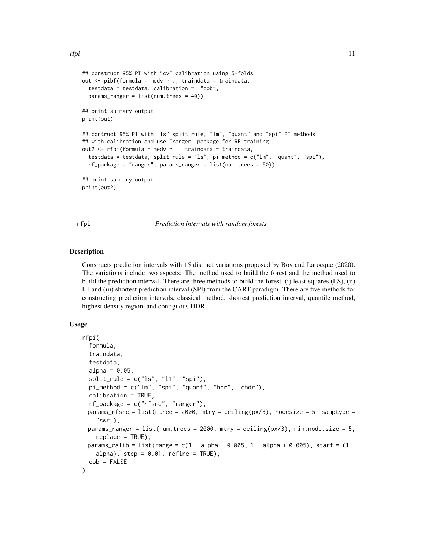```
## construct 95% PI with "cv" calibration using 5-folds
out \leq pibf(formula = medv \sim ., traindata = traindata,
 testdata = testdata, calibration = "oob",
 params_ranger = list(num.trees = 40))
## print summary output
print(out)
## contruct 95% PI with "ls" split rule, "lm", "quant" and "spi" PI methods
## with calibration and use "ranger" package for RF training
out2 <- rfpi(formula = medv ~ ., traindata = traindata,
 testdata = testdata, split_rule = "ls", pi_method = c("lm", "quant", "spi"),
 rf_package = "ranger", params_ranger = list(num.trees = 50))
## print summary output
print(out2)
```
<span id="page-10-1"></span>rfpi *Prediction intervals with random forests*

#### Description

Constructs prediction intervals with 15 distinct variations proposed by Roy and Larocque (2020). The variations include two aspects: The method used to build the forest and the method used to build the prediction interval. There are three methods to build the forest, (i) least-squares (LS), (ii) L1 and (iii) shortest prediction interval (SPI) from the CART paradigm. There are five methods for constructing prediction intervals, classical method, shortest prediction interval, quantile method, highest density region, and contiguous HDR.

#### Usage

```
rfpi(
  formula,
  traindata,
  testdata,
  alpha = 0.05,
  split<sub>rule</sub> = c("ls", "l1", "spi"),pi_method = c("lm", "spi", "quant", "hdr", "chdr"),
  calibration = TRUE,
  rf_package = c("rfsrc", "ranger"),
 params_rfsrc = list(ntree = 2000, mtry = ceiling(px/3), nodesize = 5, samptype =
    "swr"),
 params_ranger = list(num.trees = 2000, mtry = ceiling(px/3), min.node.size = 5,
    replace = TRUE),
 params_calib = list(range = c(1 - alpha - 0.005, 1 - alpha + 0.005), start = (1 -
    alpha), step = 0.01, refine = TRUE),
  oob = FALSE
)
```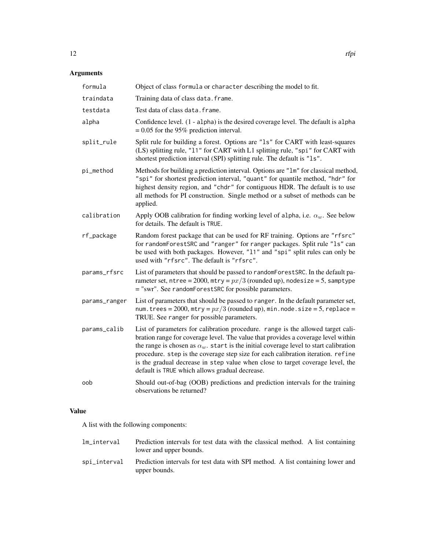#### Arguments

| formula       | Object of class formula or character describing the model to fit.                                                                                                                                                                                                                                                                                                                                                                                                                            |
|---------------|----------------------------------------------------------------------------------------------------------------------------------------------------------------------------------------------------------------------------------------------------------------------------------------------------------------------------------------------------------------------------------------------------------------------------------------------------------------------------------------------|
| traindata     | Training data of class data. frame.                                                                                                                                                                                                                                                                                                                                                                                                                                                          |
| testdata      | Test data of class data. frame.                                                                                                                                                                                                                                                                                                                                                                                                                                                              |
| alpha         | Confidence level. (1 - alpha) is the desired coverage level. The default is alpha<br>$= 0.05$ for the 95% prediction interval.                                                                                                                                                                                                                                                                                                                                                               |
| split_rule    | Split rule for building a forest. Options are "1s" for CART with least-squares<br>(LS) splitting rule, "11" for CART with L1 splitting rule, "spi" for CART with<br>shortest prediction interval (SPI) splitting rule. The default is "1s".                                                                                                                                                                                                                                                  |
| pi_method     | Methods for building a prediction interval. Options are "1m" for classical method,<br>"spi" for shortest prediction interval, "quant" for quantile method, "hdr" for<br>highest density region, and "chdr" for contiguous HDR. The default is to use<br>all methods for PI construction. Single method or a subset of methods can be<br>applied.                                                                                                                                             |
| calibration   | Apply OOB calibration for finding working level of alpha, i.e. $\alpha_w$ . See below<br>for details. The default is TRUE.                                                                                                                                                                                                                                                                                                                                                                   |
| rf_package    | Random forest package that can be used for RF training. Options are "rfsrc"<br>for randomForestSRC and "ranger" for ranger packages. Split rule "1s" can<br>be used with both packages. However, "11" and "spi" split rules can only be<br>used with "rfsrc". The default is "rfsrc".                                                                                                                                                                                                        |
| params_rfsrc  | List of parameters that should be passed to randomForestSRC. In the default pa-<br>rameter set, ntree = 2000, $mtry = px/3$ (rounded up), nodesize = 5, samptype<br>= "swr". See randomForestSRC for possible parameters.                                                                                                                                                                                                                                                                    |
| params_ranger | List of parameters that should be passed to ranger. In the default parameter set,<br>num.trees = 2000, mtry = $px/3$ (rounded up), min.node.size = 5, replace =<br>TRUE. See ranger for possible parameters.                                                                                                                                                                                                                                                                                 |
| params_calib  | List of parameters for calibration procedure. range is the allowed target cali-<br>bration range for coverage level. The value that provides a coverage level within<br>the range is chosen as $\alpha_w$ , start is the initial coverage level to start calibration<br>procedure. step is the coverage step size for each calibration iteration. refine<br>is the gradual decrease in step value when close to target coverage level, the<br>default is TRUE which allows gradual decrease. |
| oob           | Should out-of-bag (OOB) predictions and prediction intervals for the training<br>observations be returned?                                                                                                                                                                                                                                                                                                                                                                                   |

#### Value

A list with the following components:

| lm interval  | Prediction intervals for test data with the classical method. A list containing<br>lower and upper bounds. |
|--------------|------------------------------------------------------------------------------------------------------------|
| spi_interval | Prediction intervals for test data with SPI method. A list containing lower and<br>upper bounds.           |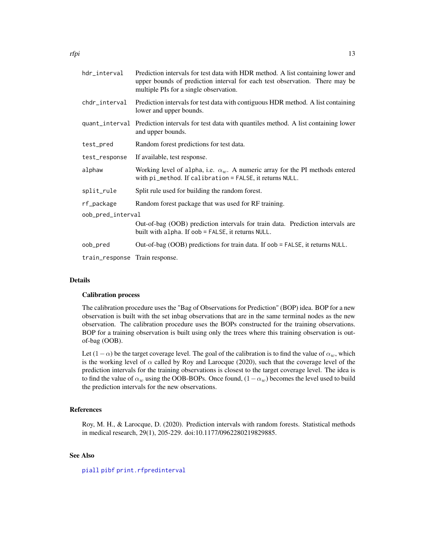<span id="page-12-0"></span>

| hdr_interval                   | Prediction intervals for test data with HDR method. A list containing lower and<br>upper bounds of prediction interval for each test observation. There may be<br>multiple PIs for a single observation. |  |
|--------------------------------|----------------------------------------------------------------------------------------------------------------------------------------------------------------------------------------------------------|--|
| chdr_interval                  | Prediction intervals for test data with contiguous HDR method. A list containing<br>lower and upper bounds.                                                                                              |  |
|                                | quant_interval Prediction intervals for test data with quantiles method. A list containing lower<br>and upper bounds.                                                                                    |  |
| test_pred                      | Random forest predictions for test data.                                                                                                                                                                 |  |
| test_response                  | If available, test response.                                                                                                                                                                             |  |
| alphaw                         | Working level of alpha, i.e. $\alpha_w$ . A numeric array for the PI methods entered<br>with $pi_m$ ethod. If calibration = FALSE, it returns NULL.                                                      |  |
| split_rule                     | Split rule used for building the random forest.                                                                                                                                                          |  |
| rf_package                     | Random forest package that was used for RF training.                                                                                                                                                     |  |
| oob_pred_interval              |                                                                                                                                                                                                          |  |
|                                | Out-of-bag (OOB) prediction intervals for train data. Prediction intervals are<br>built with alpha. If oob = FALSE, it returns NULL.                                                                     |  |
| oob_pred                       | Out-of-bag (OOB) predictions for train data. If oob = FALSE, it returns NULL.                                                                                                                            |  |
| train_response Train response. |                                                                                                                                                                                                          |  |

#### Details

#### Calibration process

The calibration procedure uses the "Bag of Observations for Prediction" (BOP) idea. BOP for a new observation is built with the set inbag observations that are in the same terminal nodes as the new observation. The calibration procedure uses the BOPs constructed for the training observations. BOP for a training observation is built using only the trees where this training observation is outof-bag (OOB).

Let  $(1 - \alpha)$  be the target coverage level. The goal of the calibration is to find the value of  $\alpha_w$ , which is the working level of  $\alpha$  called by Roy and Larocque (2020), such that the coverage level of the prediction intervals for the training observations is closest to the target coverage level. The idea is to find the value of  $\alpha_w$  using the OOB-BOPs. Once found,  $(1-\alpha_w)$  becomes the level used to build the prediction intervals for the new observations.

#### References

Roy, M. H., & Larocque, D. (2020). Prediction intervals with random forests. Statistical methods in medical research, 29(1), 205-229. doi:10.1177/0962280219829885.

#### See Also

#### [piall](#page-3-1) [pibf](#page-5-1) [print.rfpredinterval](#page-9-1)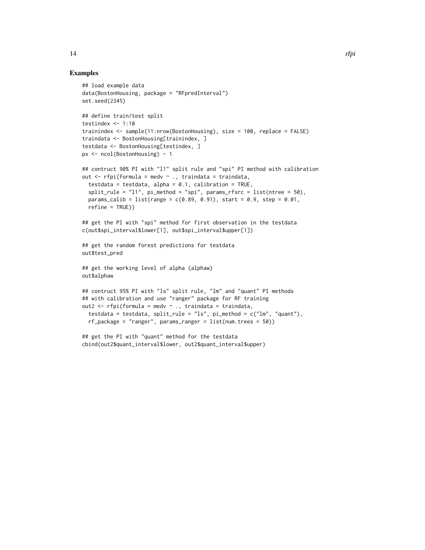#### Examples

```
## load example data
data(BostonHousing, package = "RFpredInterval")
set.seed(2345)
## define train/test split
testindex \leq -1:10trainindex <- sample(11:nrow(BostonHousing), size = 100, replace = FALSE)
traindata <- BostonHousing[trainindex, ]
testdata <- BostonHousing[testindex, ]
px <- ncol(BostonHousing) - 1
## contruct 90% PI with "l1" split rule and "spi" PI method with calibration
out <- rfpi(formula = medv ~ ., traindata = traindata,
  testdata = testdata, alpha = 0.1, calibration = TRUE,
  split_rule = "11", pi_method = "spin", params_rfsrc = list(ntree = 50),
  params_calib = list(range = c(0.89, 0.91), start = 0.9, step = 0.01,
  refine = TRUE))
## get the PI with "spi" method for first observation in the testdata
c(out$spi_interval$lower[1], out$spi_interval$upper[1])
## get the random forest predictions for testdata
out$test_pred
## get the working level of alpha (alphaw)
out$alphaw
## contruct 95% PI with "ls" split rule, "lm" and "quant" PI methods
## with calibration and use "ranger" package for RF training
out2 <- rfpi(formula = medv ~ ., traindata = traindata,
  testdata = testdata, split_rule = "ls", pi_method = c("lm", "quant"),rf_package = "ranger", params_ranger = list(num.trees = 50))
## get the PI with "quant" method for the testdata
cbind(out2$quant_interval$lower, out2$quant_interval$upper)
```
14 rfpi